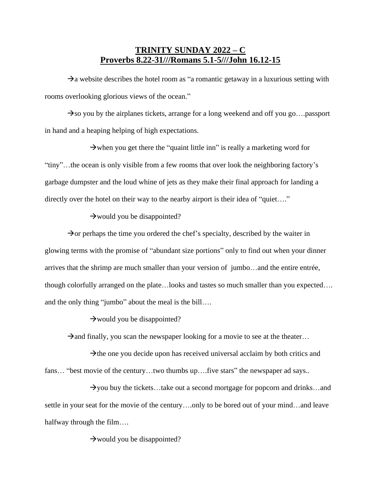## **TRINITY SUNDAY 2022 – C Proverbs 8.22-31///Romans 5.1-5///John 16.12-15**

 $\rightarrow$ a website describes the hotel room as "a romantic getaway in a luxurious setting with rooms overlooking glorious views of the ocean."

 $\rightarrow$ so you by the airplanes tickets, arrange for a long weekend and off you go....passport in hand and a heaping helping of high expectations.

 $\rightarrow$  when you get there the "quaint little inn" is really a marketing word for "tiny"…the ocean is only visible from a few rooms that over look the neighboring factory's garbage dumpster and the loud whine of jets as they make their final approach for landing a directly over the hotel on their way to the nearby airport is their idea of "quiet...."

## $\rightarrow$  would you be disappointed?

 $\rightarrow$  or perhaps the time you ordered the chef's specialty, described by the waiter in glowing terms with the promise of "abundant size portions" only to find out when your dinner arrives that the shrimp are much smaller than your version of jumbo…and the entire entrée, though colorfully arranged on the plate…looks and tastes so much smaller than you expected…. and the only thing "jumbo" about the meal is the bill….

 $\rightarrow$  would you be disappointed?

 $\rightarrow$ and finally, you scan the newspaper looking for a movie to see at the theater...

 $\rightarrow$  the one you decide upon has received universal acclaim by both critics and fans... "best movie of the century...two thumbs up....five stars" the newspaper ad says..

 $\rightarrow$ you buy the tickets…take out a second mortgage for popcorn and drinks…and settle in your seat for the movie of the century….only to be bored out of your mind…and leave halfway through the film….

 $\rightarrow$  would you be disappointed?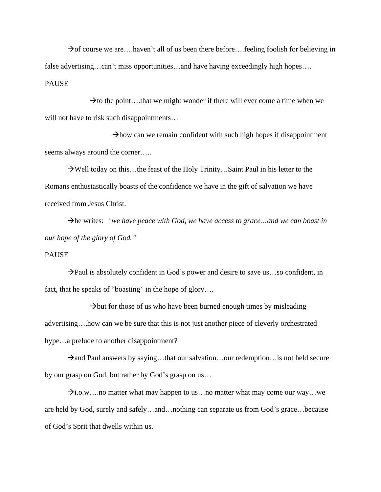$\rightarrow$  of course we are….haven't all of us been there before….feeling foolish for believing in false advertising…can't miss opportunities…and have having exceedingly high hopes…. PAUSE

 $\rightarrow$  to the point....that we might wonder if there will ever come a time when we will not have to risk such disappointments…

 $\rightarrow$ how can we remain confident with such high hopes if disappointment seems always around the corner…..

→Well today on this…the feast of the Holy Trinity…Saint Paul in his letter to the Romans enthusiastically boasts of the confidence we have in the gift of salvation we have received from Jesus Christ.

→he writes: *"we have peace with God, we have access to grace…and we can boast in our hope of the glory of God."*

## PAUSE

 $\rightarrow$ Paul is absolutely confident in God's power and desire to save us...so confident, in fact, that he speaks of "boasting" in the hope of glory....

 $\rightarrow$ but for those of us who have been burned enough times by misleading advertising….how can we be sure that this is not just another piece of cleverly orchestrated hype...a prelude to another disappointment?

 $\rightarrow$ and Paul answers by saying...that our salvation...our redemption... is not held secure by our grasp on God, but rather by God's grasp on us…

 $\rightarrow$ i.o.w….no matter what may happen to us…no matter what may come our way…we are held by God, surely and safely…and…nothing can separate us from God's grace…because of God's Sprit that dwells within us.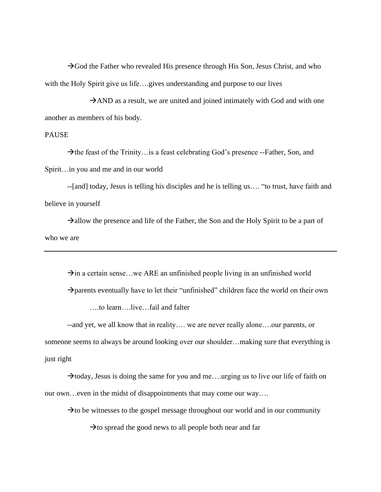$\rightarrow$  God the Father who revealed His presence through His Son, Jesus Christ, and who with the Holy Spirit give us life...gives understanding and purpose to our lives

 $\rightarrow$ AND as a result, we are united and joined intimately with God and with one another as members of his body.

## PAUSE

 $\rightarrow$  the feast of the Trinity... is a feast celebrating God's presence --Father, Son, and Spirit…in you and me and in our world

--[and] today, Jesus is telling his disciples and he is telling us…. "to trust, have faith and believe in yourself

 $\rightarrow$ allow the presence and life of the Father, the Son and the Holy Spirit to be a part of who we are

 $\rightarrow$ in a certain sense...we ARE an unfinished people living in an unfinished world  $\rightarrow$  parents eventually have to let their "unfinished" children face the world on their own ….to learn….live…fail and falter

--and yet, we all know that in reality…. we are never really alone….our parents, or someone seems to always be around looking over our shoulder…making sure that everything is just right

 $\rightarrow$ today, Jesus is doing the same for you and me... urging us to live our life of faith on our own…even in the midst of disappointments that may come our way….

 $\rightarrow$  to be witnesses to the gospel message throughout our world and in our community

 $\rightarrow$  to spread the good news to all people both near and far